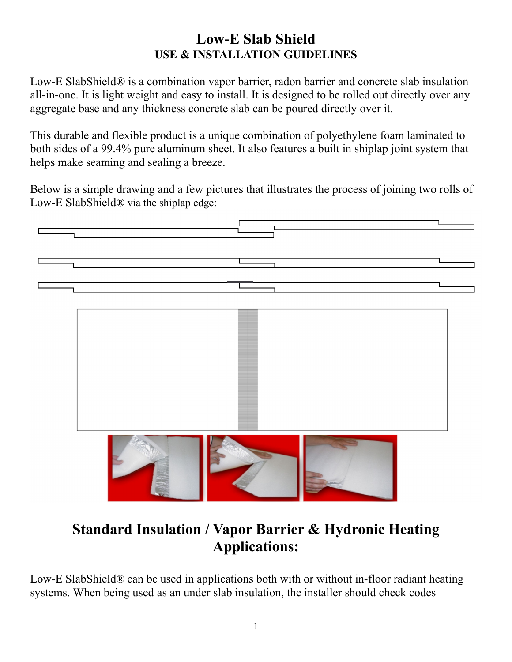### **Low-E Slab Shield USE & INSTALLATION GUIDELINES**

Low-E SlabShield® is a combination vapor barrier, radon barrier and concrete slab insulation all-in-one. It is light weight and easy to install. It is designed to be rolled out directly over any aggregate base and any thickness concrete slab can be poured directly over it.

This durable and flexible product is a unique combination of polyethylene foam laminated to both sides of a 99.4% pure aluminum sheet. It also features a built in shiplap joint system that helps make seaming and sealing a breeze.

Below is a simple drawing and a few pictures that illustrates the process of joining two rolls of Low-E SlabShield® via the shiplap edge:



# **Standard Insulation / Vapor Barrier & Hydronic Heating Applications:**

Low-E SlabShield® can be used in applications both with or without in-floor radiant heating systems. When being used as an under slab insulation, the installer should check codes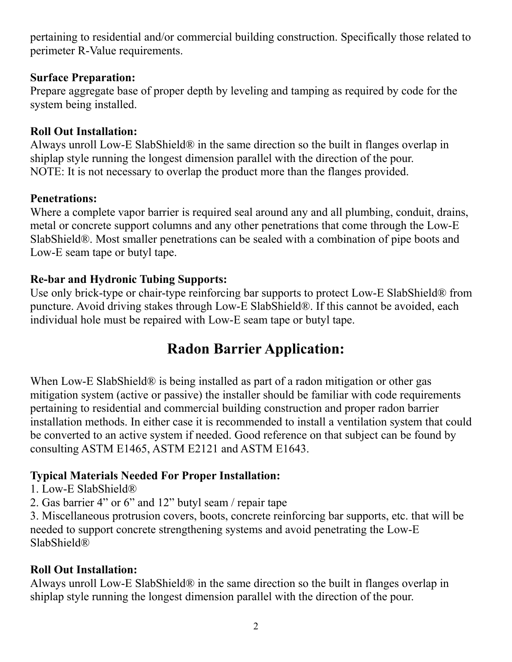pertaining to residential and/or commercial building construction. Specifically those related to perimeter R-Value requirements.

#### **Surface Preparation:**

Prepare aggregate base of proper depth by leveling and tamping as required by code for the system being installed.

#### **Roll Out Installation:**

Always unroll Low-E SlabShield® in the same direction so the built in flanges overlap in shiplap style running the longest dimension parallel with the direction of the pour. NOTE: It is not necessary to overlap the product more than the flanges provided.

#### **Penetrations:**

Where a complete vapor barrier is required seal around any and all plumbing, conduit, drains, metal or concrete support columns and any other penetrations that come through the Low-E SlabShield®. Most smaller penetrations can be sealed with a combination of pipe boots and Low-E seam tape or butyl tape.

#### **Re-bar and Hydronic Tubing Supports:**

Use only brick-type or chair-type reinforcing bar supports to protect Low-E SlabShield® from puncture. Avoid driving stakes through Low-E SlabShield®. If this cannot be avoided, each individual hole must be repaired with Low-E seam tape or butyl tape.

## **Radon Barrier Application:**

When Low-E SlabShield<sup>®</sup> is being installed as part of a radon mitigation or other gas mitigation system (active or passive) the installer should be familiar with code requirements pertaining to residential and commercial building construction and proper radon barrier installation methods. In either case it is recommended to install a ventilation system that could be converted to an active system if needed. Good reference on that subject can be found by consulting ASTM E1465, ASTM E2121 and ASTM E1643.

#### **Typical Materials Needed For Proper Installation:**

- 1. Low-E SlabShield®
- 2. Gas barrier 4" or 6" and 12" butyl seam / repair tape

3. Miscellaneous protrusion covers, boots, concrete reinforcing bar supports, etc. that will be needed to support concrete strengthening systems and avoid penetrating the Low-E SlabShield®

#### **Roll Out Installation:**

Always unroll Low-E SlabShield® in the same direction so the built in flanges overlap in shiplap style running the longest dimension parallel with the direction of the pour.